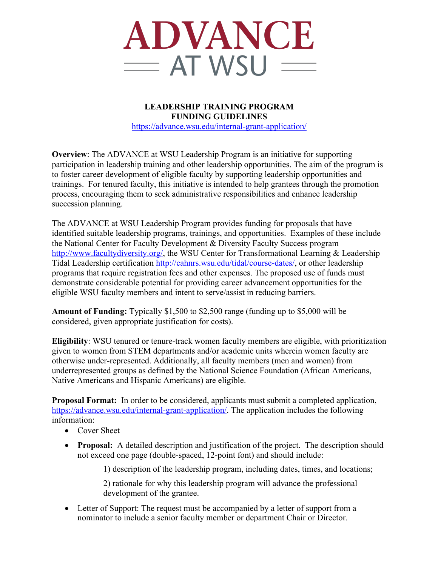

**LEADERSHIP TRAINING PROGRAM FUNDING GUIDELINES** https://advance.wsu.edu/internal-grant-application/

**Overview**: The ADVANCE at WSU Leadership Program is an initiative for supporting participation in leadership training and other leadership opportunities. The aim of the program is to foster career development of eligible faculty by supporting leadership opportunities and trainings. For tenured faculty, this initiative is intended to help grantees through the promotion process, encouraging them to seek administrative responsibilities and enhance leadership succession planning.

The ADVANCE at WSU Leadership Program provides funding for proposals that have identified suitable leadership programs, trainings, and opportunities. Examples of these include the National Center for Faculty Development & Diversity Faculty Success program http://www.facultydiversity.org/, the WSU Center for Transformational Learning & Leadership Tidal Leadership certification http://cahnrs.wsu.edu/tidal/course-dates/, or other leadership programs that require registration fees and other expenses. The proposed use of funds must demonstrate considerable potential for providing career advancement opportunities for the eligible WSU faculty members and intent to serve/assist in reducing barriers.

**Amount of Funding:** Typically \$1,500 to \$2,500 range (funding up to \$5,000 will be considered, given appropriate justification for costs).

**Eligibility**: WSU tenured or tenure-track women faculty members are eligible, with prioritization given to women from STEM departments and/or academic units wherein women faculty are otherwise under-represented. Additionally, all faculty members (men and women) from underrepresented groups as defined by the National Science Foundation (African Americans, Native Americans and Hispanic Americans) are eligible.

**Proposal Format:** In order to be considered, applicants must submit a completed application, https://advance.wsu.edu/internal-grant-application/. The application includes the following information:

- Cover Sheet
- **Proposal:** A detailed description and justification of the project. The description should not exceed one page (double-spaced, 12-point font) and should include:

1) description of the leadership program, including dates, times, and locations;

2) rationale for why this leadership program will advance the professional development of the grantee.

• Letter of Support: The request must be accompanied by a letter of support from a nominator to include a senior faculty member or department Chair or Director.